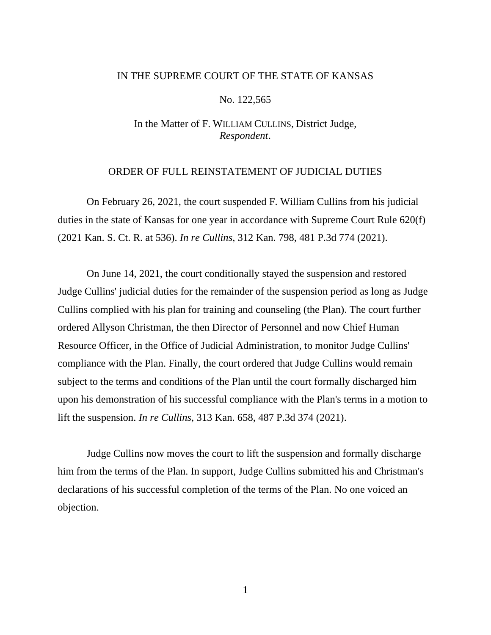## IN THE SUPREME COURT OF THE STATE OF KANSAS

## No. 122,565

## In the Matter of F. WILLIAM CULLINS, District Judge, *Respondent*.

## ORDER OF FULL REINSTATEMENT OF JUDICIAL DUTIES

On February 26, 2021, the court suspended F. William Cullins from his judicial duties in the state of Kansas for one year in accordance with Supreme Court Rule 620(f) (2021 Kan. S. Ct. R. at 536). *In re Cullins*, 312 Kan. 798, 481 P.3d 774 (2021).

On June 14, 2021, the court conditionally stayed the suspension and restored Judge Cullins' judicial duties for the remainder of the suspension period as long as Judge Cullins complied with his plan for training and counseling (the Plan). The court further ordered Allyson Christman, the then Director of Personnel and now Chief Human Resource Officer, in the Office of Judicial Administration, to monitor Judge Cullins' compliance with the Plan. Finally, the court ordered that Judge Cullins would remain subject to the terms and conditions of the Plan until the court formally discharged him upon his demonstration of his successful compliance with the Plan's terms in a motion to lift the suspension. *In re Cullins*, 313 Kan. 658, 487 P.3d 374 (2021).

Judge Cullins now moves the court to lift the suspension and formally discharge him from the terms of the Plan. In support, Judge Cullins submitted his and Christman's declarations of his successful completion of the terms of the Plan. No one voiced an objection.